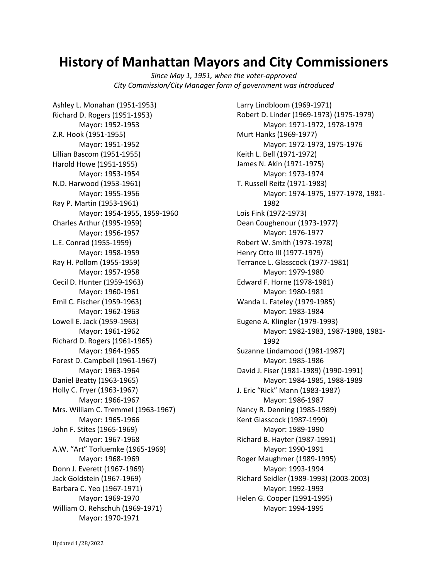## **History of Manhattan Mayors and City Commissioners**

*Since May 1, 1951, when the voter-approved City Commission/City Manager form of government was introduced*

Ashley L. Monahan (1951-1953) Richard D. Rogers (1951-1953) Mayor: 1952-1953 Z.R. Hook (1951-1955) Mayor: 1951-1952 Lillian Bascom (1951-1955) Harold Howe (1951-1955) Mayor: 1953-1954 N.D. Harwood (1953-1961) Mayor: 1955-1956 Ray P. Martin (1953-1961) Mayor: 1954-1955, 1959-1960 Charles Arthur (1995-1959) Mayor: 1956-1957 L.E. Conrad (1955-1959) Mayor: 1958-1959 Ray H. Pollom (1955-1959) Mayor: 1957-1958 Cecil D. Hunter (1959-1963) Mayor: 1960-1961 Emil C. Fischer (1959-1963) Mayor: 1962-1963 Lowell E. Jack (1959-1963) Mayor: 1961-1962 Richard D. Rogers (1961-1965) Mayor: 1964-1965 Forest D. Campbell (1961-1967) Mayor: 1963-1964 Daniel Beatty (1963-1965) Holly C. Fryer (1963-1967) Mayor: 1966-1967 Mrs. William C. Tremmel (1963-1967) Mayor: 1965-1966 John F. Stites (1965-1969) Mayor: 1967-1968 A.W. "Art" Torluemke (1965-1969) Mayor: 1968-1969 Donn J. Everett (1967-1969) Jack Goldstein (1967-1969) Barbara C. Yeo (1967-1971) Mayor: 1969-1970 William O. Rehschuh (1969-1971) Mayor: 1970-1971

Larry Lindbloom (1969-1971) Robert D. Linder (1969-1973) (1975-1979) Mayor: 1971-1972, 1978-1979 Murt Hanks (1969-1977) Mayor: 1972-1973, 1975-1976 Keith L. Bell (1971-1972) James N. Akin (1971-1975) Mayor: 1973-1974 T. Russell Reitz (1971-1983) Mayor: 1974-1975, 1977-1978, 1981- 1982 Lois Fink (1972-1973) Dean Coughenour (1973-1977) Mayor: 1976-1977 Robert W. Smith (1973-1978) Henry Otto III (1977-1979) Terrance L. Glasscock (1977-1981) Mayor: 1979-1980 Edward F. Horne (1978-1981) Mayor: 1980-1981 Wanda L. Fateley (1979-1985) Mayor: 1983-1984 Eugene A. Klingler (1979-1993) Mayor: 1982-1983, 1987-1988, 1981- 1992 Suzanne Lindamood (1981-1987) Mayor: 1985-1986 David J. Fiser (1981-1989) (1990-1991) Mayor: 1984-1985, 1988-1989 J. Eric "Rick" Mann (1983-1987) Mayor: 1986-1987 Nancy R. Denning (1985-1989) Kent Glasscock (1987-1990) Mayor: 1989-1990 Richard B. Hayter (1987-1991) Mayor: 1990-1991 Roger Maughmer (1989-1995) Mayor: 1993-1994 Richard Seidler (1989-1993) (2003-2003) Mayor: 1992-1993 Helen G. Cooper (1991-1995) Mayor: 1994-1995